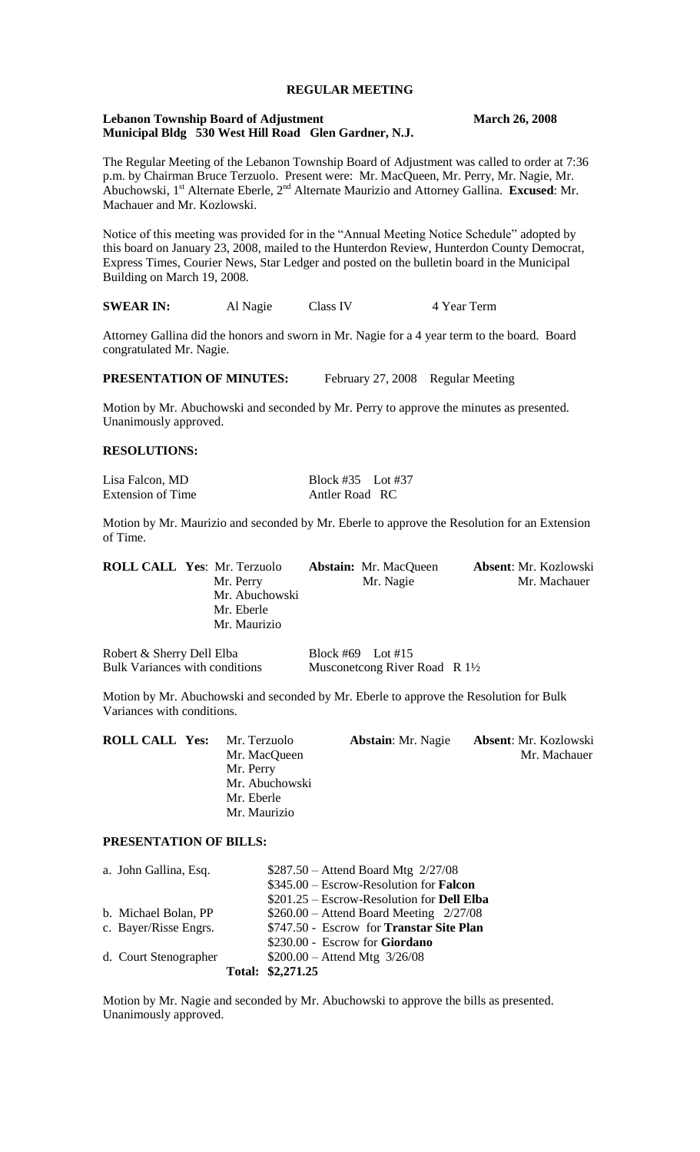# **REGULAR MEETING**

#### **Lebanon Township Board of Adjustment March 26, 2008 Municipal Bldg 530 West Hill Road Glen Gardner, N.J.**

The Regular Meeting of the Lebanon Township Board of Adjustment was called to order at 7:36 p.m. by Chairman Bruce Terzuolo. Present were: Mr. MacQueen, Mr. Perry, Mr. Nagie, Mr. Abuchowski, 1<sup>st</sup> Alternate Eberle, 2<sup>nd</sup> Alternate Maurizio and Attorney Gallina. **Excused**: Mr. Machauer and Mr. Kozlowski.

Notice of this meeting was provided for in the "Annual Meeting Notice Schedule" adopted by this board on January 23, 2008, mailed to the Hunterdon Review, Hunterdon County Democrat, Express Times, Courier News, Star Ledger and posted on the bulletin board in the Municipal Building on March 19, 2008.

**SWEAR IN:** Al Nagie Class IV 4 Year Term

Attorney Gallina did the honors and sworn in Mr. Nagie for a 4 year term to the board. Board congratulated Mr. Nagie.

**PRESENTATION OF MINUTES:** February 27, 2008 Regular Meeting

Motion by Mr. Abuchowski and seconded by Mr. Perry to approve the minutes as presented. Unanimously approved.

## **RESOLUTIONS:**

Extension of Time Antler Road RC

Lisa Falcon, MD Block #35 Lot #37

Motion by Mr. Maurizio and seconded by Mr. Eberle to approve the Resolution for an Extension of Time.

|  | <b>ROLL CALL Yes: Mr. Terzuolo</b> | <b>Abstain:</b> Mr. MacQueen | Absent: Mr. Kozlowski |
|--|------------------------------------|------------------------------|-----------------------|
|  | Mr. Perry                          | Mr. Nagie                    | Mr. Machauer          |
|  | Mr. Abuchowski                     |                              |                       |
|  | Mr. Eberle                         |                              |                       |
|  | Mr. Maurizio                       |                              |                       |
|  |                                    |                              |                       |

Robert & Sherry Dell Elba Block #69 Lot #15 Bulk Variances with conditions Musconetcong River Road R 1<sup>1</sup>/<sub>2</sub>

Motion by Mr. Abuchowski and seconded by Mr. Eberle to approve the Resolution for Bulk Variances with conditions.

| <b>ROLL CALL Yes:</b> | Mr. Terzuolo   | <b>Abstain:</b> Mr. Nagie | <b>Absent: Mr. Kozlowski</b> |
|-----------------------|----------------|---------------------------|------------------------------|
|                       | Mr. MacQueen   |                           | Mr. Machauer                 |
|                       | Mr. Perry      |                           |                              |
|                       | Mr. Abuchowski |                           |                              |
|                       | Mr. Eberle     |                           |                              |
|                       | Mr. Maurizio   |                           |                              |
|                       |                |                           |                              |

# **PRESENTATION OF BILLS:**

| a. John Gallina, Esq. | $$287.50 - Attend$ Board Mtg $2/27/08$            |
|-----------------------|---------------------------------------------------|
|                       | $$345.00 - Escrow-Resolution for Falcon$          |
|                       | \$201.25 – Escrow-Resolution for <b>Dell Elba</b> |
| b. Michael Bolan, PP  | $$260.00 -$ Attend Board Meeting $2/27/08$        |
| c. Bayer/Risse Engrs. | \$747.50 - Escrow for Transtar Site Plan          |
|                       | \$230.00 - Escrow for Giordano                    |
| d. Court Stenographer | $$200.00 -$ Attend Mtg $3/26/08$                  |
|                       | Total: \$2,271.25                                 |

Motion by Mr. Nagie and seconded by Mr. Abuchowski to approve the bills as presented. Unanimously approved.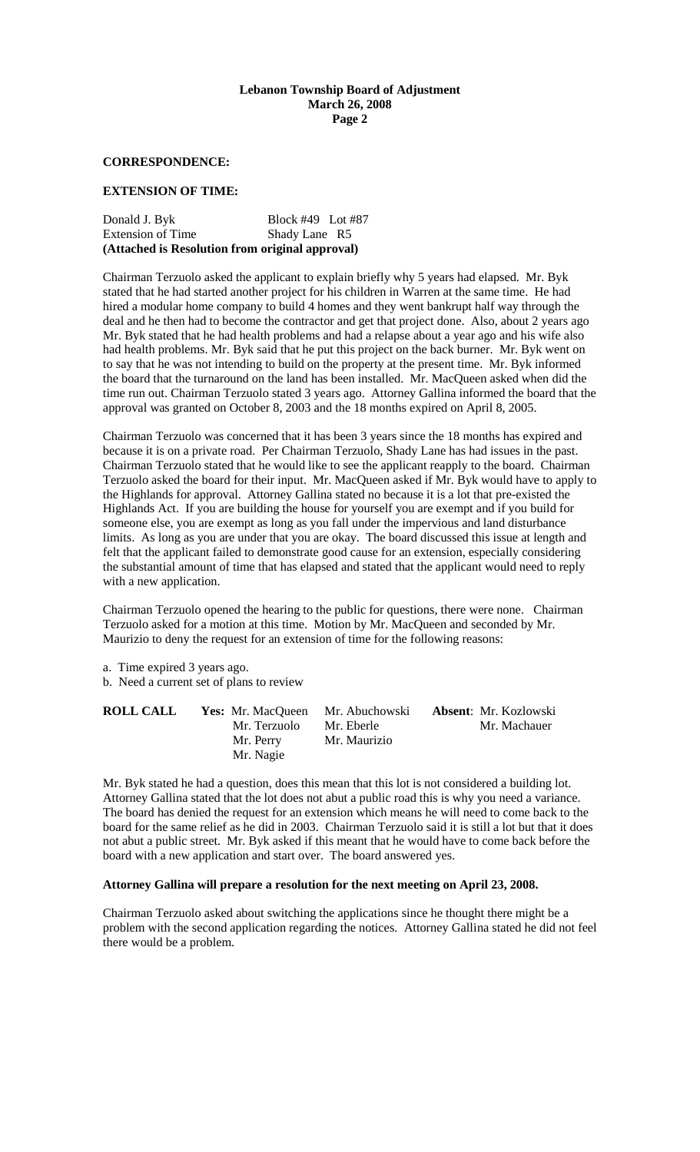## **Lebanon Township Board of Adjustment March 26, 2008 Page 2**

#### **CORRESPONDENCE:**

#### **EXTENSION OF TIME:**

| Shady Lane R5     |
|-------------------|
| Block #49 Lot #87 |
|                   |

Chairman Terzuolo asked the applicant to explain briefly why 5 years had elapsed. Mr. Byk stated that he had started another project for his children in Warren at the same time. He had hired a modular home company to build 4 homes and they went bankrupt half way through the deal and he then had to become the contractor and get that project done. Also, about 2 years ago Mr. Byk stated that he had health problems and had a relapse about a year ago and his wife also had health problems. Mr. Byk said that he put this project on the back burner. Mr. Byk went on to say that he was not intending to build on the property at the present time. Mr. Byk informed the board that the turnaround on the land has been installed. Mr. MacQueen asked when did the time run out. Chairman Terzuolo stated 3 years ago. Attorney Gallina informed the board that the approval was granted on October 8, 2003 and the 18 months expired on April 8, 2005.

Chairman Terzuolo was concerned that it has been 3 years since the 18 months has expired and because it is on a private road. Per Chairman Terzuolo, Shady Lane has had issues in the past. Chairman Terzuolo stated that he would like to see the applicant reapply to the board. Chairman Terzuolo asked the board for their input. Mr. MacQueen asked if Mr. Byk would have to apply to the Highlands for approval. Attorney Gallina stated no because it is a lot that pre-existed the Highlands Act. If you are building the house for yourself you are exempt and if you build for someone else, you are exempt as long as you fall under the impervious and land disturbance limits. As long as you are under that you are okay. The board discussed this issue at length and felt that the applicant failed to demonstrate good cause for an extension, especially considering the substantial amount of time that has elapsed and stated that the applicant would need to reply with a new application.

Chairman Terzuolo opened the hearing to the public for questions, there were none. Chairman Terzuolo asked for a motion at this time. Motion by Mr. MacQueen and seconded by Mr. Maurizio to deny the request for an extension of time for the following reasons:

- a. Time expired 3 years ago.
- b. Need a current set of plans to review

| <b>ROLL CALL</b> | <b>Yes:</b> Mr. MacQueen Mr. Abuchowski<br>Mr. Terzuolo | Mr. Eberle   | <b>Absent:</b> Mr. Kozlowski<br>Mr. Machauer |
|------------------|---------------------------------------------------------|--------------|----------------------------------------------|
|                  | Mr. Perry<br>Mr. Nagie                                  | Mr. Maurizio |                                              |

Mr. Byk stated he had a question, does this mean that this lot is not considered a building lot. Attorney Gallina stated that the lot does not abut a public road this is why you need a variance. The board has denied the request for an extension which means he will need to come back to the board for the same relief as he did in 2003. Chairman Terzuolo said it is still a lot but that it does not abut a public street. Mr. Byk asked if this meant that he would have to come back before the board with a new application and start over. The board answered yes.

# **Attorney Gallina will prepare a resolution for the next meeting on April 23, 2008.**

Chairman Terzuolo asked about switching the applications since he thought there might be a problem with the second application regarding the notices. Attorney Gallina stated he did not feel there would be a problem.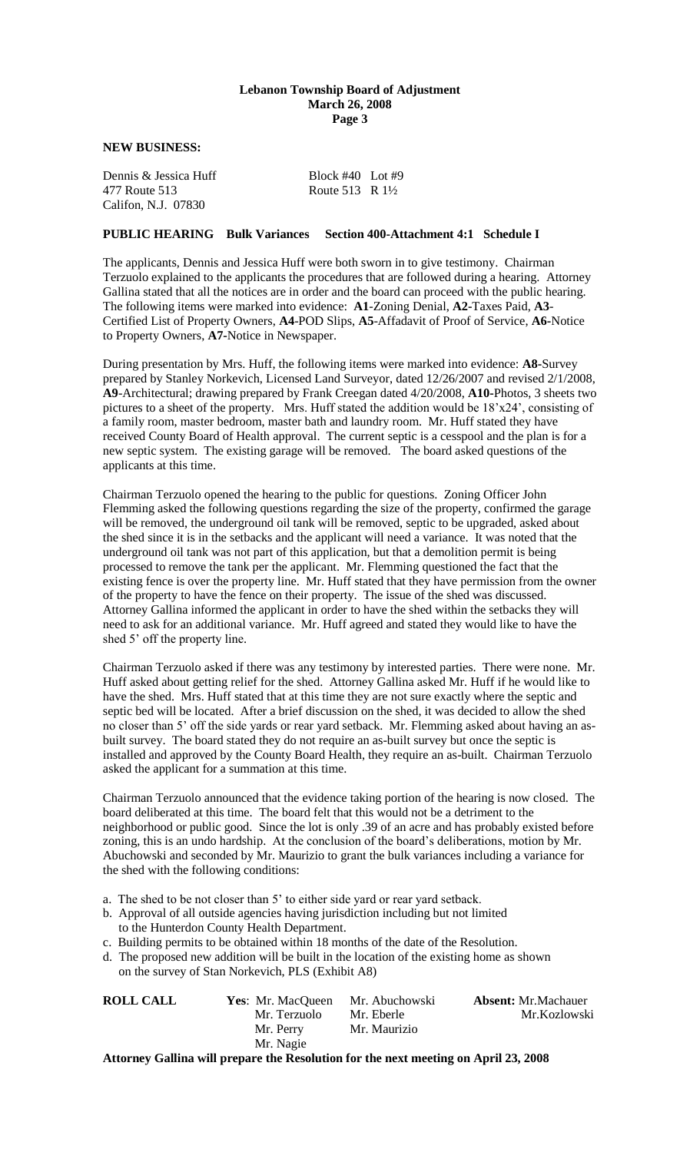#### **Lebanon Township Board of Adjustment March 26, 2008 Page 3**

## **NEW BUSINESS:**

| Dennis & Jessica Huff | Block $#40$ Lot $#9$       |  |
|-----------------------|----------------------------|--|
| 477 Route 513         | Route 513 R $1\frac{1}{2}$ |  |
| Califon, N.J. 07830   |                            |  |

#### **PUBLIC HEARING Bulk Variances Section 400-Attachment 4:1 Schedule I**

The applicants, Dennis and Jessica Huff were both sworn in to give testimony. Chairman Terzuolo explained to the applicants the procedures that are followed during a hearing. Attorney Gallina stated that all the notices are in order and the board can proceed with the public hearing. The following items were marked into evidence: **A1**-Zoning Denial, **A2-**Taxes Paid, **A3**- Certified List of Property Owners, **A4**-POD Slips, **A5**-Affadavit of Proof of Service, **A6-**Notice to Property Owners, **A7-**Notice in Newspaper.

During presentation by Mrs. Huff, the following items were marked into evidence: **A8-**Survey prepared by Stanley Norkevich, Licensed Land Surveyor, dated 12/26/2007 and revised 2/1/2008, **A9**-Architectural; drawing prepared by Frank Creegan dated 4/20/2008, **A10-**Photos, 3 sheets two pictures to a sheet of the property. Mrs. Huff stated the addition would be 18'x24', consisting of a family room, master bedroom, master bath and laundry room. Mr. Huff stated they have received County Board of Health approval. The current septic is a cesspool and the plan is for a new septic system. The existing garage will be removed. The board asked questions of the applicants at this time.

Chairman Terzuolo opened the hearing to the public for questions. Zoning Officer John Flemming asked the following questions regarding the size of the property, confirmed the garage will be removed, the underground oil tank will be removed, septic to be upgraded, asked about the shed since it is in the setbacks and the applicant will need a variance. It was noted that the underground oil tank was not part of this application, but that a demolition permit is being processed to remove the tank per the applicant. Mr. Flemming questioned the fact that the existing fence is over the property line. Mr. Huff stated that they have permission from the owner of the property to have the fence on their property. The issue of the shed was discussed. Attorney Gallina informed the applicant in order to have the shed within the setbacks they will need to ask for an additional variance. Mr. Huff agreed and stated they would like to have the shed 5' off the property line.

Chairman Terzuolo asked if there was any testimony by interested parties. There were none. Mr. Huff asked about getting relief for the shed. Attorney Gallina asked Mr. Huff if he would like to have the shed. Mrs. Huff stated that at this time they are not sure exactly where the septic and septic bed will be located. After a brief discussion on the shed, it was decided to allow the shed no closer than 5' off the side yards or rear yard setback. Mr. Flemming asked about having an asbuilt survey. The board stated they do not require an as-built survey but once the septic is installed and approved by the County Board Health, they require an as-built. Chairman Terzuolo asked the applicant for a summation at this time.

Chairman Terzuolo announced that the evidence taking portion of the hearing is now closed. The board deliberated at this time. The board felt that this would not be a detriment to the neighborhood or public good. Since the lot is only .39 of an acre and has probably existed before zoning, this is an undo hardship. At the conclusion of the board's deliberations, motion by Mr. Abuchowski and seconded by Mr. Maurizio to grant the bulk variances including a variance for the shed with the following conditions:

- a. The shed to be not closer than 5' to either side yard or rear yard setback.
- b. Approval of all outside agencies having jurisdiction including but not limited to the Hunterdon County Health Department.
- c. Building permits to be obtained within 18 months of the date of the Resolution.
- d. The proposed new addition will be built in the location of the existing home as shown on the survey of Stan Norkevich, PLS (Exhibit A8)

| <b>ROLL CALL</b> | <b>Yes:</b> Mr. MacQueen Mr. Abuchowski                                              |              | <b>Absent:</b> Mr.Machauer |
|------------------|--------------------------------------------------------------------------------------|--------------|----------------------------|
|                  | Mr. Terzuolo                                                                         | Mr. Eberle   | Mr.Kozlowski               |
|                  | Mr. Perry                                                                            | Mr. Maurizio |                            |
|                  | Mr. Nagie                                                                            |              |                            |
|                  | Attorney Colling will prepare the Desolution for the next meeting on A pril 22, 2008 |              |                            |

**Attorney Gallina will prepare the Resolution for the next meeting on April 23, 2008**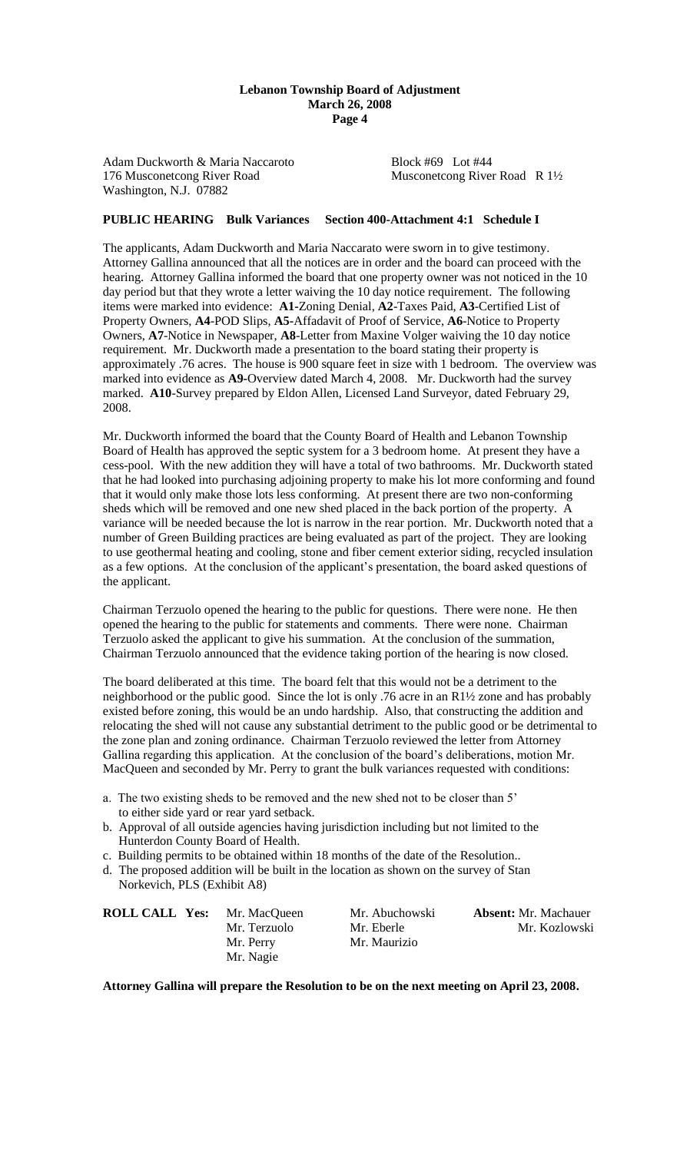#### **Lebanon Township Board of Adjustment March 26, 2008 Page 4**

Adam Duckworth & Maria Naccaroto Block #69 Lot #44 176 Musconetcong River Road Musconetcong River Road R 1½ Washington, N.J. 07882

# **PUBLIC HEARING Bulk Variances Section 400-Attachment 4:1 Schedule I**

The applicants, Adam Duckworth and Maria Naccarato were sworn in to give testimony. Attorney Gallina announced that all the notices are in order and the board can proceed with the hearing. Attorney Gallina informed the board that one property owner was not noticed in the 10 day period but that they wrote a letter waiving the 10 day notice requirement. The following items were marked into evidence: **A1-**Zoning Denial, **A2**-Taxes Paid, **A3**-Certified List of Property Owners, **A4**-POD Slips, **A5-**Affadavit of Proof of Service, **A6**-Notice to Property Owners, **A7**-Notice in Newspaper, **A8**-Letter from Maxine Volger waiving the 10 day notice requirement. Mr. Duckworth made a presentation to the board stating their property is approximately .76 acres. The house is 900 square feet in size with 1 bedroom. The overview was marked into evidence as **A9-**Overview dated March 4, 2008. Mr. Duckworth had the survey marked. **A10**-Survey prepared by Eldon Allen, Licensed Land Surveyor, dated February 29, 2008.

Mr. Duckworth informed the board that the County Board of Health and Lebanon Township Board of Health has approved the septic system for a 3 bedroom home. At present they have a cess-pool. With the new addition they will have a total of two bathrooms. Mr. Duckworth stated that he had looked into purchasing adjoining property to make his lot more conforming and found that it would only make those lots less conforming. At present there are two non-conforming sheds which will be removed and one new shed placed in the back portion of the property. A variance will be needed because the lot is narrow in the rear portion. Mr. Duckworth noted that a number of Green Building practices are being evaluated as part of the project. They are looking to use geothermal heating and cooling, stone and fiber cement exterior siding, recycled insulation as a few options. At the conclusion of the applicant's presentation, the board asked questions of the applicant.

Chairman Terzuolo opened the hearing to the public for questions. There were none. He then opened the hearing to the public for statements and comments. There were none. Chairman Terzuolo asked the applicant to give his summation. At the conclusion of the summation, Chairman Terzuolo announced that the evidence taking portion of the hearing is now closed.

The board deliberated at this time. The board felt that this would not be a detriment to the neighborhood or the public good. Since the lot is only .76 acre in an R1½ zone and has probably existed before zoning, this would be an undo hardship. Also, that constructing the addition and relocating the shed will not cause any substantial detriment to the public good or be detrimental to the zone plan and zoning ordinance. Chairman Terzuolo reviewed the letter from Attorney Gallina regarding this application. At the conclusion of the board's deliberations, motion Mr. MacQueen and seconded by Mr. Perry to grant the bulk variances requested with conditions:

- a. The two existing sheds to be removed and the new shed not to be closer than 5' to either side yard or rear yard setback.
- b. Approval of all outside agencies having jurisdiction including but not limited to the Hunterdon County Board of Health.
- c. Building permits to be obtained within 18 months of the date of the Resolution..
- d. The proposed addition will be built in the location as shown on the survey of Stan Norkevich, PLS (Exhibit A8)

| <b>ROLL CALL Yes:</b> | Mr. MacQueen | Mr. Abuchowski | <b>Absent:</b> Mr. Machauer |
|-----------------------|--------------|----------------|-----------------------------|
|                       | Mr. Terzuolo | Mr. Eberle     | Mr. Kozlowski               |
|                       | Mr. Perry    | Mr. Maurizio   |                             |
|                       | Mr. Nagie    |                |                             |

**Attorney Gallina will prepare the Resolution to be on the next meeting on April 23, 2008.**